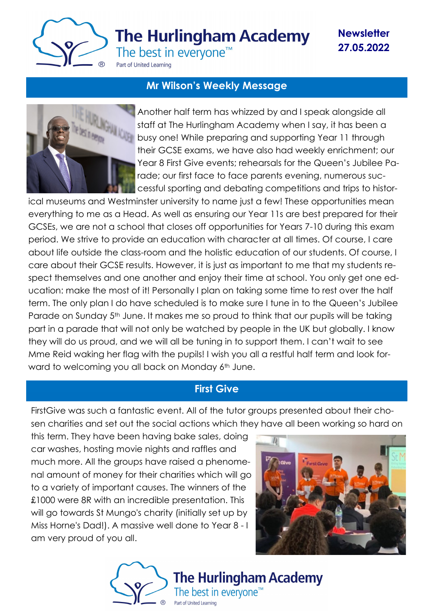

**Newsletter 27.05.2022**

# **Mr Wilson's Weekly Message**



Another half term has whizzed by and I speak alongside all staff at The Hurlingham Academy when I say, it has been a busy one! While preparing and supporting Year 11 through their GCSE exams, we have also had weekly enrichment; our Year 8 First Give events; rehearsals for the Queen's Jubilee Parade; our first face to face parents evening, numerous successful sporting and debating competitions and trips to histor-

ical museums and Westminster university to name just a few! These opportunities mean everything to me as a Head. As well as ensuring our Year 11s are best prepared for their GCSEs, we are not a school that closes off opportunities for Years 7-10 during this exam period. We strive to provide an education with character at all times. Of course, I care about life outside the class-room and the holistic education of our students. Of course, I care about their GCSE results. However, it is just as important to me that my students respect themselves and one another and enjoy their time at school. You only get one education: make the most of it! Personally I plan on taking some time to rest over the half term. The only plan I do have scheduled is to make sure I tune in to the Queen's Jubilee Parade on Sunday 5<sup>th</sup> June. It makes me so proud to think that our pupils will be taking part in a parade that will not only be watched by people in the UK but globally. I know they will do us proud, and we will all be tuning in to support them. I can't wait to see Mme Reid waking her flag with the pupils! I wish you all a restful half term and look forward to welcoming you all back on Monday 6<sup>th</sup> June.

## **First Give**

FirstGive was such a fantastic event. All of the tutor groups presented about their chosen charities and set out the social actions which they have all been working so hard on

this term. They have been having bake sales, doing car washes, hosting movie nights and raffles and much more. All the groups have raised a phenomenal amount of money for their charities which will go to a variety of important causes. The winners of the £1000 were 8R with an incredible presentation. This will go towards St Mungo's charity (initially set up by Miss Horne's Dad!). A massive well done to Year 8 - I am very proud of you all.



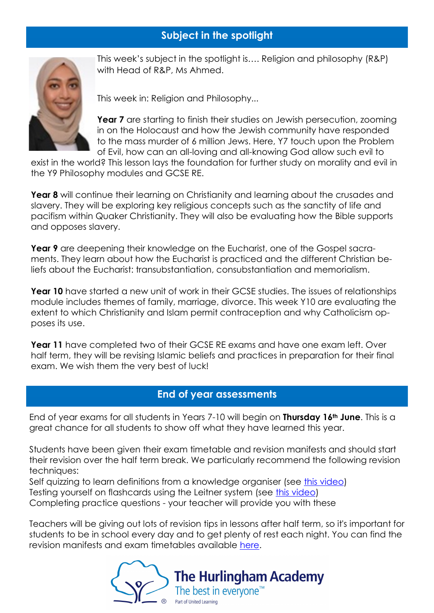# **Subject in the spotlight**



This week's subject in the spotlight is…. Religion and philosophy (R&P) with Head of R&P, Ms Ahmed.

This week in: Religion and Philosophy...

**Year 7** are starting to finish their studies on Jewish persecution, zooming in on the Holocaust and how the Jewish community have responded to the mass murder of 6 million Jews. Here, Y7 touch upon the Problem of Evil, how can an all-loving and all-knowing God allow such evil to

exist in the world? This lesson lays the foundation for further study on morality and evil in the Y9 Philosophy modules and GCSE RE.

**Year 8** will continue their learning on Christianity and learning about the crusades and slavery. They will be exploring key religious concepts such as the sanctity of life and pacifism within Quaker Christianity. They will also be evaluating how the Bible supports and opposes slavery.

**Year 9** are deepening their knowledge on the Eucharist, one of the Gospel sacraments. They learn about how the Eucharist is practiced and the different Christian beliefs about the Eucharist: transubstantiation, consubstantiation and memorialism.

**Year 10** have started a new unit of work in their GCSE studies. The issues of relationships module includes themes of family, marriage, divorce. This week Y10 are evaluating the extent to which Christianity and Islam permit contraception and why Catholicism opposes its use.

**Year 11** have completed two of their GCSE RE exams and have one exam left. Over half term, they will be revising Islamic beliefs and practices in preparation for their final exam. We wish them the very best of luck!

## **End of year assessments**

End of year exams for all students in Years 7-10 will begin on **Thursday 16th June**. This is a great chance for all students to show off what they have learned this year.

Students have been given their exam timetable and revision manifests and should start their revision over the half term break. We particularly recommend the following revision techniques:

Self quizzing to learn definitions from a knowledge organiser (see [this video\)](https://www.youtube.com/watch?v=LGZtGZU7VYo) Testing yourself on flashcards using the Leitner system (see [this video\)](https://www.youtube.com/watch?v=C20EvKtdJwQ)

Completing practice questions - your teacher will provide you with these

Teachers will be giving out lots of revision tips in lessons after half term, so it's important for students to be in school every day and to get plenty of rest each night. You can find the revision manifests and exam timetables available [here.](https://www.thehurlinghamacademy.org.uk/students/assessment-manifest)

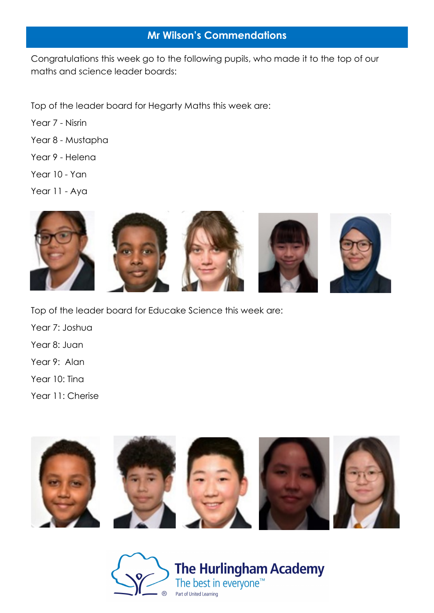# **Mr Wilson's Commendations**

Congratulations this week go to the following pupils, who made it to the top of our maths and science leader boards:

Top of the leader board for Hegarty Maths this week are:

- Year 7 Nisrin
- Year 8 Mustapha
- Year 9 Helena
- Year 10 Yan
- Year 11 Aya



- Top of the leader board for Educake Science this week are:
- Year 7: Joshua
- Year 8: Juan
- Year 9: Alan
- Year 10: Tina
- Year 11: Cherise



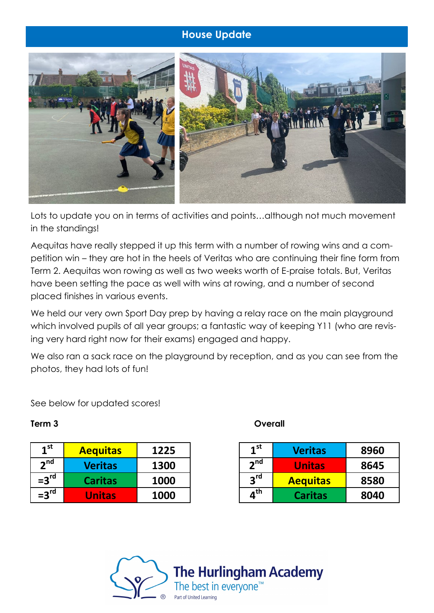# **House Update**



Lots to update you on in terms of activities and points…although not much movement in the standings!

Aequitas have really stepped it up this term with a number of rowing wins and a competition win – they are hot in the heels of Veritas who are continuing their fine form from Term 2. Aequitas won rowing as well as two weeks worth of E-praise totals. But, Veritas have been setting the pace as well with wins at rowing, and a number of second placed finishes in various events.

We held our very own Sport Day prep by having a relay race on the main playground which involved pupils of all year groups; a fantastic way of keeping Y11 (who are revising very hard right now for their exams) engaged and happy.

We also ran a sack race on the playground by reception, and as you can see from the photos, they had lots of fun!

See below for updated scores!

| 1 <sup>st</sup>  | <b>Aequitas</b> | 1225 |
|------------------|-----------------|------|
| 2 <sup>nd</sup>  | <b>Veritas</b>  | 1300 |
| $=3rd$           | <b>Caritas</b>  | 1000 |
| $=3^{\text{rd}}$ | <b>Unitas</b>   | 1000 |

### **Term 3 Overall**

| 1 <sup>st</sup>                | <b>Veritas</b>  | 8960 |
|--------------------------------|-----------------|------|
| 2 <sup>nd</sup>                | <b>Unitas</b>   | 8645 |
| 3rd                            | <b>Aequitas</b> | 8580 |
| $\boldsymbol{a}^{\textsf{th}}$ | <b>Caritas</b>  | 8040 |